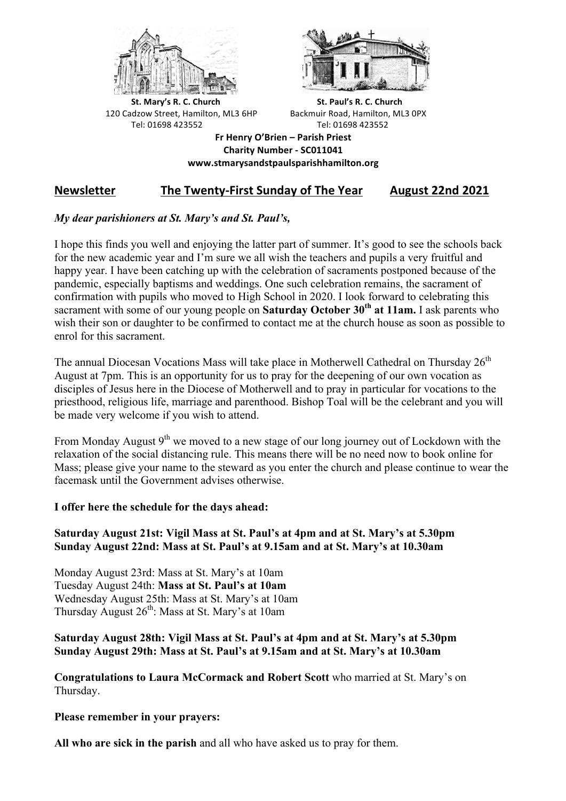



**St.** Mary's R. C. Church St. Paul's R. C. Church 120 Cadzow Street, Hamilton, ML3 6HP Backmuir Road, Hamilton, ML3 0PX Tel: 01698 423552 Tel: 01698 423552

**Fr Henry O'Brien – Parish Priest Charity Number - SC011041 www.stmarysandstpaulsparishhamilton.org**

# Newsletter The Twenty-First Sunday of The Year August 22nd 2021

## *My dear parishioners at St. Mary's and St. Paul's,*

I hope this finds you well and enjoying the latter part of summer. It's good to see the schools back for the new academic year and I'm sure we all wish the teachers and pupils a very fruitful and happy year. I have been catching up with the celebration of sacraments postponed because of the pandemic, especially baptisms and weddings. One such celebration remains, the sacrament of confirmation with pupils who moved to High School in 2020. I look forward to celebrating this sacrament with some of our young people on **Saturday October 30th at 11am.** I ask parents who wish their son or daughter to be confirmed to contact me at the church house as soon as possible to enrol for this sacrament.

The annual Diocesan Vocations Mass will take place in Motherwell Cathedral on Thursday  $26<sup>th</sup>$ August at 7pm. This is an opportunity for us to pray for the deepening of our own vocation as disciples of Jesus here in the Diocese of Motherwell and to pray in particular for vocations to the priesthood, religious life, marriage and parenthood. Bishop Toal will be the celebrant and you will be made very welcome if you wish to attend.

From Monday August  $9<sup>th</sup>$  we moved to a new stage of our long journey out of Lockdown with the relaxation of the social distancing rule. This means there will be no need now to book online for Mass; please give your name to the steward as you enter the church and please continue to wear the facemask until the Government advises otherwise.

## **I offer here the schedule for the days ahead:**

### **Saturday August 21st: Vigil Mass at St. Paul's at 4pm and at St. Mary's at 5.30pm Sunday August 22nd: Mass at St. Paul's at 9.15am and at St. Mary's at 10.30am**

Monday August 23rd: Mass at St. Mary's at 10am Tuesday August 24th: **Mass at St. Paul's at 10am** Wednesday August 25th: Mass at St. Mary's at 10am Thursday August  $26<sup>th</sup>$ : Mass at St. Mary's at 10am

### **Saturday August 28th: Vigil Mass at St. Paul's at 4pm and at St. Mary's at 5.30pm Sunday August 29th: Mass at St. Paul's at 9.15am and at St. Mary's at 10.30am**

**Congratulations to Laura McCormack and Robert Scott** who married at St. Mary's on Thursday.

**Please remember in your prayers:**

**All who are sick in the parish** and all who have asked us to pray for them.